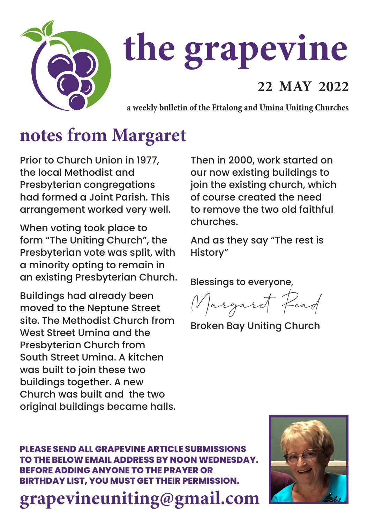

# **the grapevine**

#### **22 MAY 2022**

**a weekly bulletin of the Ettalong and Umina Uniting Churches**

### **notes from Margaret**

Prior to Church Union in 1977, the local Methodist and Presbyterian congregations had formed a Joint Parish. This arrangement worked very well.

When voting took place to form "The Uniting Church", the Presbyterian vote was split, with a minority opting to remain in an existing Presbyterian Church.

Buildings had already been moved to the Neptune Street site. The Methodist Church from West Street Umina and the Presbyterian Church from South Street Umina. A kitchen was built to join these two buildings together. A new Church was built and the two original buildings became halls. Then in 2000, work started on our now existing buildings to join the existing church, which of course created the need to remove the two old faithful churches.

And as they say "The rest is History"

Blessings to everyone,

Margaret Read

Broken Bay Uniting Church

**PLEASE SEND ALL GRAPEVINE ARTICLE SUBMISSIONS TO THE BELOW EMAIL ADDRESS BY NOON WEDNESDAY. BEFORE ADDING ANYONE TO THE PRAYER OR BIRTHDAY LIST, YOU MUST GET THEIR PERMISSION.**

**grapevineuniting@gmail.com**

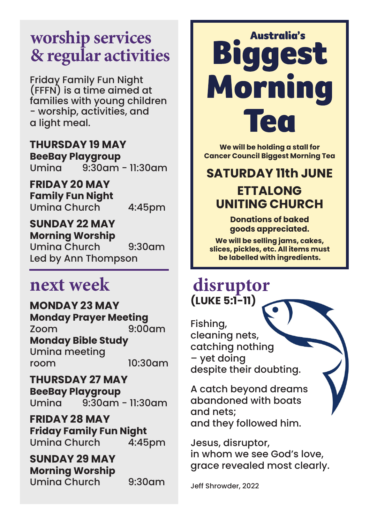#### **worship services & regular activities**

Friday Family Fun Night (FFFN) is a time aimed at families with young children - worship, activities, and a light meal.

**THURSDAY 19 MAY BeeBay Playgroup**  $9:30$ am - 11:30am

**FRIDAY 20 MAY Family Fun Night** Umina Church 4:45pm

**SUNDAY 22 MAY Morning Worship** Umina Church 9:30am Led by Ann Thompson

#### **next week**

**MONDAY 23 MAY Monday Prayer Meeting** Zoom 9:00am **Monday Bible Study** Umina meeting room 10:30am

**THURSDAY 27 MAY BeeBay Playgroup** Umina 9:30am - 11:30am

**FRIDAY 28 MAY Friday Family Fun Night** Umina Church

**SUNDAY 29 MAY Morning Worship** Umina Church 9:30am

## **Australia's** Bigg est **Morning** em

**We will be holding a stall for Cancer Council Biggest Morning Tea**

**SATURDAY 11th JUNE** 

#### **ETTALONG UNITING CHURCH**

**Donations of baked goods appreciated.**

**We will be selling jams, cakes, slices, pickles, etc. All items must be labelled with ingredients.**

#### **disruptor (LUKE 5:1-11)**

Fishing, cleaning nets, catching nothing – yet doing despite their doubting.

A catch beyond dreams abandoned with boats and nets; and they followed him.

Jesus, disruptor, in whom we see God's love, grace revealed most clearly.

Jeff Shrowder, 2022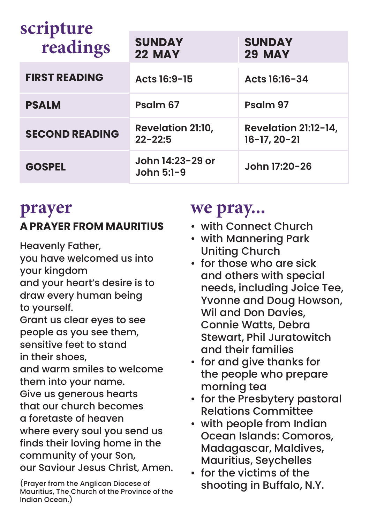| scripture<br>readings | <b>SUNDAY</b><br><b>22 MAY</b>          | <b>SUNDAY</b><br><b>29 MAY</b>             |
|-----------------------|-----------------------------------------|--------------------------------------------|
| <b>FIRST READING</b>  | Acts 16:9-15                            | Acts 16:16-34                              |
| <b>PSALM</b>          | Psalm 67                                | Psalm 97                                   |
| <b>SECOND READING</b> | <b>Revelation 21:10,</b><br>$22 - 22:5$ | Revelation 21:12-14,<br>$16 - 17, 20 - 21$ |
| <b>GOSPEL</b>         | John 14:23-29 or<br>John $5:1-9$        | John 17:20-26                              |

#### **prayer A PRAYER FROM MAURITIUS**

Heavenly Father,

you have welcomed us into your kingdom and your heart's desire is to draw every human being to yourself. Grant us clear eyes to see people as you see them, sensitive feet to stand in their shoes, and warm smiles to welcome them into your name. Give us generous hearts that our church becomes a foretaste of heaven where every soul you send us finds their loving home in the community of your Son, our Saviour Jesus Christ, Amen.

(Prayer from the Anglican Diocese of Mauritius, The Church of the Province of the Indian Ocean.)

#### **we pray...**

- with Connect Church
- with Mannering Park Uniting Church
- for those who are sick and others with special needs, including Joice Tee, Yvonne and Doug Howson, Wil and Don Davies, Connie Watts, Debra Stewart, Phil Juratowitch and their families
- for and give thanks for the people who prepare morning tea
- for the Presbytery pastoral Relations Committee
- with people from Indian Ocean Islands: Comoros, Madagascar, Maldives, Mauritius, Seychelles
- for the victims of the shooting in Buffalo, N.Y.